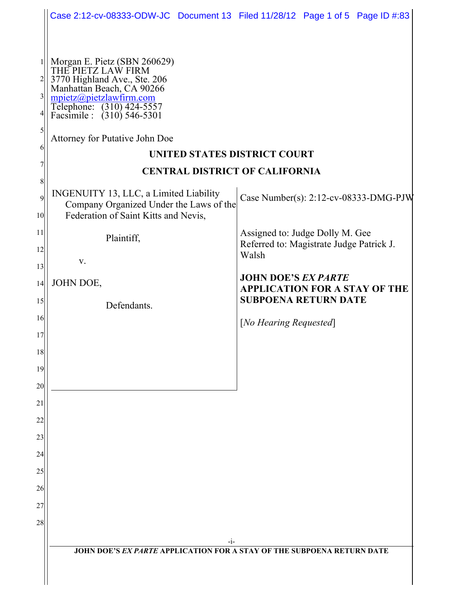|                                                                                                   | Case 2:12-cv-08333-ODW-JC Document 13 Filed 11/28/12 Page 1 of 5 Page ID #:83                                                                                                                                                                                                                                                                                                                                                                                                  |                                                                                                                                                                                                                                    |  |  |  |  |  |
|---------------------------------------------------------------------------------------------------|--------------------------------------------------------------------------------------------------------------------------------------------------------------------------------------------------------------------------------------------------------------------------------------------------------------------------------------------------------------------------------------------------------------------------------------------------------------------------------|------------------------------------------------------------------------------------------------------------------------------------------------------------------------------------------------------------------------------------|--|--|--|--|--|
|                                                                                                   |                                                                                                                                                                                                                                                                                                                                                                                                                                                                                |                                                                                                                                                                                                                                    |  |  |  |  |  |
| $\overline{2}$<br>$\frac{3}{2}$<br>6<br>8<br>9<br>10 <sup>1</sup><br>11<br>12<br>13<br> 14 <br>15 | Morgan E. Pietz (SBN 260629)<br>THE PIETZ LAW FIRM<br>3770 Highland Ave., Ste. 206<br>Manhattan Beach, CA 90266<br>mpietz@pietzlawfirm.com<br>Telephone: (310) 424-5557<br>Facsimile : (310) 546-5301<br>Attorney for Putative John Doe<br>UNITED STATES DISTRICT COURT<br><b>CENTRAL DISTRICT OF CALIFORNIA</b><br>INGENUITY 13, LLC, a Limited Liability<br>Company Organized Under the Laws of the<br>Federation of Saint Kitts and Nevis,<br>Plaintiff,<br>V.<br>JOHN DOE, | Case Number(s): 2:12-cv-08333-DMG-PJW<br>Assigned to: Judge Dolly M. Gee<br>Referred to: Magistrate Judge Patrick J.<br>Walsh<br><b>JOHN DOE'S EX PARTE</b><br><b>APPLICATION FOR A STAY OF THE</b><br><b>SUBPOENA RETURN DATE</b> |  |  |  |  |  |
|                                                                                                   | Defendants.                                                                                                                                                                                                                                                                                                                                                                                                                                                                    |                                                                                                                                                                                                                                    |  |  |  |  |  |
| 16<br>17                                                                                          |                                                                                                                                                                                                                                                                                                                                                                                                                                                                                | [No Hearing Requested]                                                                                                                                                                                                             |  |  |  |  |  |
| 18                                                                                                |                                                                                                                                                                                                                                                                                                                                                                                                                                                                                |                                                                                                                                                                                                                                    |  |  |  |  |  |
| 19                                                                                                |                                                                                                                                                                                                                                                                                                                                                                                                                                                                                |                                                                                                                                                                                                                                    |  |  |  |  |  |
| 20                                                                                                |                                                                                                                                                                                                                                                                                                                                                                                                                                                                                |                                                                                                                                                                                                                                    |  |  |  |  |  |
| 21                                                                                                |                                                                                                                                                                                                                                                                                                                                                                                                                                                                                |                                                                                                                                                                                                                                    |  |  |  |  |  |
| 22                                                                                                |                                                                                                                                                                                                                                                                                                                                                                                                                                                                                |                                                                                                                                                                                                                                    |  |  |  |  |  |
| 23                                                                                                |                                                                                                                                                                                                                                                                                                                                                                                                                                                                                |                                                                                                                                                                                                                                    |  |  |  |  |  |
| 24                                                                                                |                                                                                                                                                                                                                                                                                                                                                                                                                                                                                |                                                                                                                                                                                                                                    |  |  |  |  |  |
| 25                                                                                                |                                                                                                                                                                                                                                                                                                                                                                                                                                                                                |                                                                                                                                                                                                                                    |  |  |  |  |  |
| 26                                                                                                |                                                                                                                                                                                                                                                                                                                                                                                                                                                                                |                                                                                                                                                                                                                                    |  |  |  |  |  |
| 27                                                                                                |                                                                                                                                                                                                                                                                                                                                                                                                                                                                                |                                                                                                                                                                                                                                    |  |  |  |  |  |
| 28                                                                                                |                                                                                                                                                                                                                                                                                                                                                                                                                                                                                |                                                                                                                                                                                                                                    |  |  |  |  |  |
|                                                                                                   | -i-<br><b>JOHN DOE'S EX PARTE APPLICATION FOR A STAY OF THE SUBPOENA RETURN DATE</b>                                                                                                                                                                                                                                                                                                                                                                                           |                                                                                                                                                                                                                                    |  |  |  |  |  |
|                                                                                                   |                                                                                                                                                                                                                                                                                                                                                                                                                                                                                |                                                                                                                                                                                                                                    |  |  |  |  |  |
|                                                                                                   |                                                                                                                                                                                                                                                                                                                                                                                                                                                                                |                                                                                                                                                                                                                                    |  |  |  |  |  |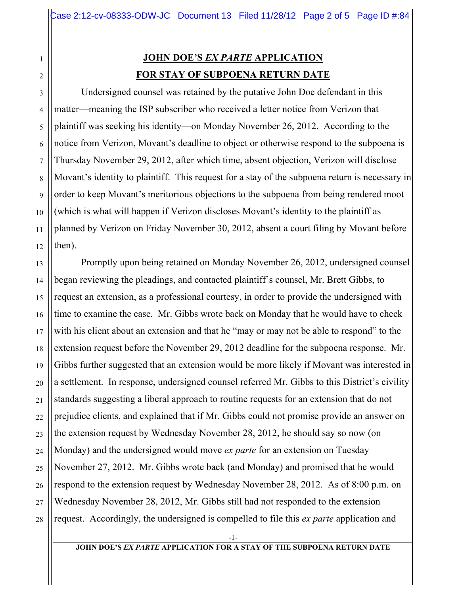## **JOHN DOE'S** *EX PARTE* **APPLICATION FOR STAY OF SUBPOENA RETURN DATE**

1

2

3

4

5

6

7

8

9

10

11

12

13

14

15

16

17

18

19

20

21

22

23

24

25

26

27

28

Undersigned counsel was retained by the putative John Doe defendant in this matter—meaning the ISP subscriber who received a letter notice from Verizon that plaintiff was seeking his identity—on Monday November 26, 2012. According to the notice from Verizon, Movant's deadline to object or otherwise respond to the subpoena is Thursday November 29, 2012, after which time, absent objection, Verizon will disclose Movant's identity to plaintiff. This request for a stay of the subpoena return is necessary in order to keep Movant's meritorious objections to the subpoena from being rendered moot (which is what will happen if Verizon discloses Movant's identity to the plaintiff as planned by Verizon on Friday November 30, 2012, absent a court filing by Movant before then).

Promptly upon being retained on Monday November 26, 2012, undersigned counsel began reviewing the pleadings, and contacted plaintiff's counsel, Mr. Brett Gibbs, to request an extension, as a professional courtesy, in order to provide the undersigned with time to examine the case. Mr. Gibbs wrote back on Monday that he would have to check with his client about an extension and that he "may or may not be able to respond" to the extension request before the November 29, 2012 deadline for the subpoena response. Mr. Gibbs further suggested that an extension would be more likely if Movant was interested in a settlement. In response, undersigned counsel referred Mr. Gibbs to this District's civility standards suggesting a liberal approach to routine requests for an extension that do not prejudice clients, and explained that if Mr. Gibbs could not promise provide an answer on the extension request by Wednesday November 28, 2012, he should say so now (on Monday) and the undersigned would move *ex parte* for an extension on Tuesday November 27, 2012. Mr. Gibbs wrote back (and Monday) and promised that he would respond to the extension request by Wednesday November 28, 2012. As of 8:00 p.m. on Wednesday November 28, 2012, Mr. Gibbs still had not responded to the extension request. Accordingly, the undersigned is compelled to file this *ex parte* application and

-1-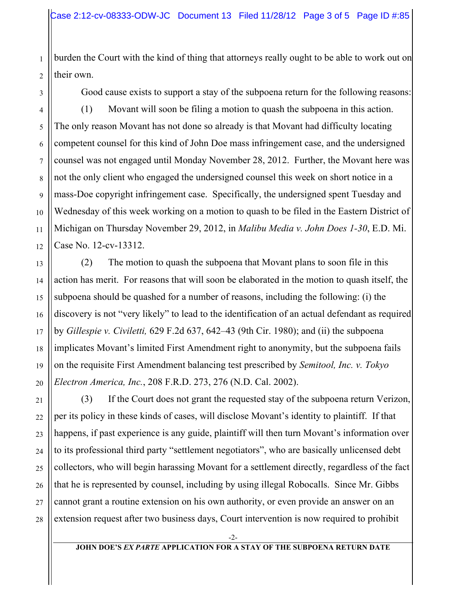burden the Court with the kind of thing that attorneys really ought to be able to work out on their own.

3

1

2

4

Good cause exists to support a stay of the subpoena return for the following reasons:

(1) Movant will soon be filing a motion to quash the subpoena in this action. The only reason Movant has not done so already is that Movant had difficulty locating competent counsel for this kind of John Doe mass infringement case, and the undersigned counsel was not engaged until Monday November 28, 2012. Further, the Movant here was not the only client who engaged the undersigned counsel this week on short notice in a mass-Doe copyright infringement case. Specifically, the undersigned spent Tuesday and Wednesday of this week working on a motion to quash to be filed in the Eastern District of Michigan on Thursday November 29, 2012, in *Malibu Media v. John Does 1-30*, E.D. Mi. Case No. 12-cv-13312.

(2) The motion to quash the subpoena that Movant plans to soon file in this action has merit. For reasons that will soon be elaborated in the motion to quash itself, the subpoena should be quashed for a number of reasons, including the following: (i) the discovery is not "very likely" to lead to the identification of an actual defendant as required by *Gillespie v. Civiletti,* 629 F.2d 637, 642–43 (9th Cir. 1980); and (ii) the subpoena implicates Movant's limited First Amendment right to anonymity, but the subpoena fails on the requisite First Amendment balancing test prescribed by *Semitool, Inc. v. Tokyo Electron America, Inc.*, 208 F.R.D. 273, 276 (N.D. Cal. 2002).

(3) If the Court does not grant the requested stay of the subpoena return Verizon, per its policy in these kinds of cases, will disclose Movant's identity to plaintiff. If that happens, if past experience is any guide, plaintiff will then turn Movant's information over to its professional third party "settlement negotiators", who are basically unlicensed debt collectors, who will begin harassing Movant for a settlement directly, regardless of the fact that he is represented by counsel, including by using illegal Robocalls. Since Mr. Gibbs cannot grant a routine extension on his own authority, or even provide an answer on an extension request after two business days, Court intervention is now required to prohibit

> -2- **JOHN DOE'S** *EX PARTE* **APPLICATION FOR A STAY OF THE SUBPOENA RETURN DATE**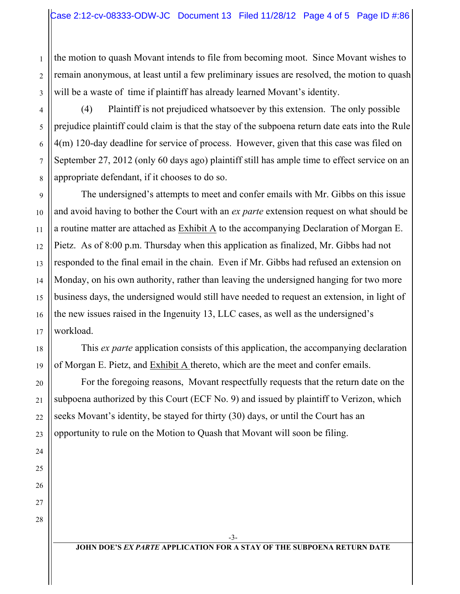the motion to quash Movant intends to file from becoming moot. Since Movant wishes to remain anonymous, at least until a few preliminary issues are resolved, the motion to quash will be a waste of time if plaintiff has already learned Movant's identity.

(4) Plaintiff is not prejudiced whatsoever by this extension. The only possible prejudice plaintiff could claim is that the stay of the subpoena return date eats into the Rule 4(m) 120-day deadline for service of process. However, given that this case was filed on September 27, 2012 (only 60 days ago) plaintiff still has ample time to effect service on an appropriate defendant, if it chooses to do so.

The undersigned's attempts to meet and confer emails with Mr. Gibbs on this issue and avoid having to bother the Court with an *ex parte* extension request on what should be a routine matter are attached as Exhibit A to the accompanying Declaration of Morgan E. Pietz. As of 8:00 p.m. Thursday when this application as finalized, Mr. Gibbs had not responded to the final email in the chain. Even if Mr. Gibbs had refused an extension on Monday, on his own authority, rather than leaving the undersigned hanging for two more business days, the undersigned would still have needed to request an extension, in light of the new issues raised in the Ingenuity 13, LLC cases, as well as the undersigned's workload.

This *ex parte* application consists of this application, the accompanying declaration of Morgan E. Pietz, and Exhibit A thereto, which are the meet and confer emails.

For the foregoing reasons, Movant respectfully requests that the return date on the subpoena authorized by this Court (ECF No. 9) and issued by plaintiff to Verizon, which seeks Movant's identity, be stayed for thirty (30) days, or until the Court has an opportunity to rule on the Motion to Quash that Movant will soon be filing.

27 28

1

2

3

4

5

6

7

8

9

10

11

12

13

14

15

16

17

18

19

20

21

22

23

24

25

26